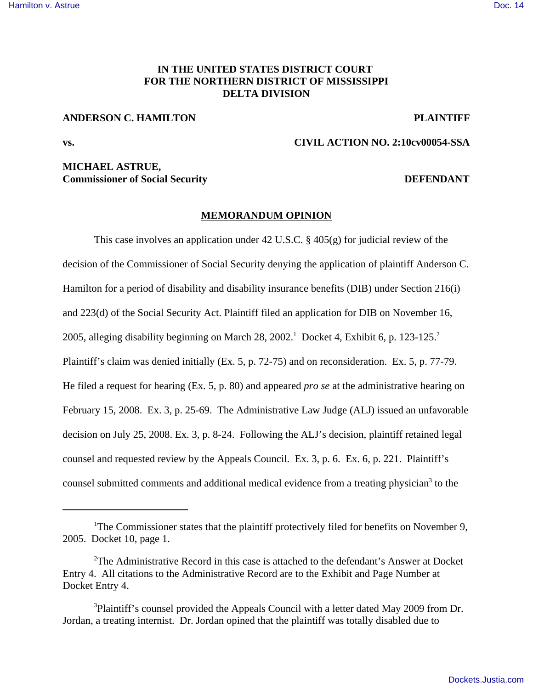### [Hamilton v. Astrue](http://dockets.justia.com/docket/mississippi/msndce/2:2010cv00054/30292/) [Doc. 14](http://docs.justia.com/cases/federal/district-courts/mississippi/msndce/2:2010cv00054/30292/14/)

# **IN THE UNITED STATES DISTRICT COURT FOR THE NORTHERN DISTRICT OF MISSISSIPPI DELTA DIVISION**

## **ANDERSON C. HAMILTON PLAINTIFF**

**vs. CIVIL ACTION NO. 2:10cv00054-SSA**

## **MICHAEL ASTRUE, Commissioner of Social Security Commissioner of Social Security Commissioner of Social Security Commissioner Social Security Commissioner Social Security Commissioner Social Security Commissioner Social Security Commissio**

## **MEMORANDUM OPINION**

This case involves an application under 42 U.S.C. § 405(g) for judicial review of the decision of the Commissioner of Social Security denying the application of plaintiff Anderson C. Hamilton for a period of disability and disability insurance benefits (DIB) under Section 216(i) and 223(d) of the Social Security Act. Plaintiff filed an application for DIB on November 16, 2005, alleging disability beginning on March 28, 2002.<sup>1</sup> Docket 4, Exhibit 6, p. 123-125.<sup>2</sup> Plaintiff's claim was denied initially (Ex. 5, p. 72-75) and on reconsideration. Ex. 5, p. 77-79. He filed a request for hearing (Ex. 5, p. 80) and appeared *pro se* at the administrative hearing on February 15, 2008. Ex. 3, p. 25-69. The Administrative Law Judge (ALJ) issued an unfavorable decision on July 25, 2008. Ex. 3, p. 8-24. Following the ALJ's decision, plaintiff retained legal counsel and requested review by the Appeals Council. Ex. 3, p. 6. Ex. 6, p. 221. Plaintiff's counsel submitted comments and additional medical evidence from a treating physician<sup>3</sup> to the

<sup>&</sup>lt;sup>1</sup>The Commissioner states that the plaintiff protectively filed for benefits on November 9, 2005. Docket 10, page 1.

<sup>2</sup>The Administrative Record in this case is attached to the defendant's Answer at Docket Entry 4. All citations to the Administrative Record are to the Exhibit and Page Number at Docket Entry 4.

<sup>&</sup>lt;sup>3</sup>Plaintiff's counsel provided the Appeals Council with a letter dated May 2009 from Dr. Jordan, a treating internist. Dr. Jordan opined that the plaintiff was totally disabled due to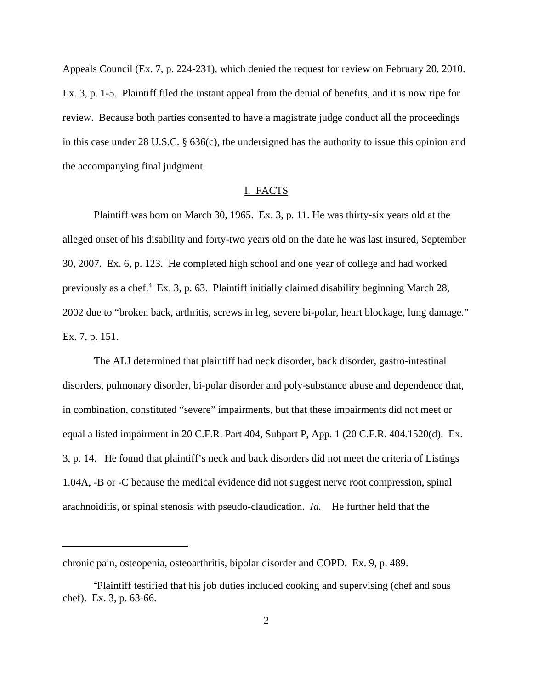Appeals Council (Ex. 7, p. 224-231), which denied the request for review on February 20, 2010. Ex. 3, p. 1-5. Plaintiff filed the instant appeal from the denial of benefits, and it is now ripe for review. Because both parties consented to have a magistrate judge conduct all the proceedings in this case under 28 U.S.C. § 636(c), the undersigned has the authority to issue this opinion and the accompanying final judgment.

#### I. FACTS

Plaintiff was born on March 30, 1965. Ex. 3, p. 11. He was thirty-six years old at the alleged onset of his disability and forty-two years old on the date he was last insured, September 30, 2007. Ex. 6, p. 123. He completed high school and one year of college and had worked previously as a chef.<sup>4</sup> Ex. 3, p. 63. Plaintiff initially claimed disability beginning March 28, 2002 due to "broken back, arthritis, screws in leg, severe bi-polar, heart blockage, lung damage." Ex. 7, p. 151.

The ALJ determined that plaintiff had neck disorder, back disorder, gastro-intestinal disorders, pulmonary disorder, bi-polar disorder and poly-substance abuse and dependence that, in combination, constituted "severe" impairments, but that these impairments did not meet or equal a listed impairment in 20 C.F.R. Part 404, Subpart P, App. 1 (20 C.F.R. 404.1520(d). Ex. 3, p. 14. He found that plaintiff's neck and back disorders did not meet the criteria of Listings 1.04A, -B or -C because the medical evidence did not suggest nerve root compression, spinal arachnoiditis, or spinal stenosis with pseudo-claudication. *Id.* He further held that the

chronic pain, osteopenia, osteoarthritis, bipolar disorder and COPD. Ex. 9, p. 489.

<sup>&</sup>lt;sup>4</sup>Plaintiff testified that his job duties included cooking and supervising (chef and sous chef). Ex. 3, p. 63-66.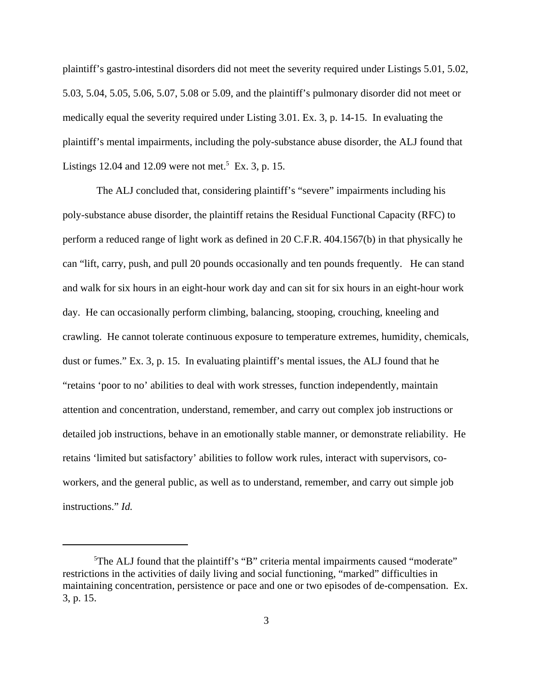plaintiff's gastro-intestinal disorders did not meet the severity required under Listings 5.01, 5.02, 5.03, 5.04, 5.05, 5.06, 5.07, 5.08 or 5.09, and the plaintiff's pulmonary disorder did not meet or medically equal the severity required under Listing 3.01. Ex. 3, p. 14-15. In evaluating the plaintiff's mental impairments, including the poly-substance abuse disorder, the ALJ found that Listings 12.04 and 12.09 were not met.<sup>5</sup> Ex. 3, p. 15.

 The ALJ concluded that, considering plaintiff's "severe" impairments including his poly-substance abuse disorder, the plaintiff retains the Residual Functional Capacity (RFC) to perform a reduced range of light work as defined in 20 C.F.R. 404.1567(b) in that physically he can "lift, carry, push, and pull 20 pounds occasionally and ten pounds frequently. He can stand and walk for six hours in an eight-hour work day and can sit for six hours in an eight-hour work day. He can occasionally perform climbing, balancing, stooping, crouching, kneeling and crawling. He cannot tolerate continuous exposure to temperature extremes, humidity, chemicals, dust or fumes." Ex. 3, p. 15. In evaluating plaintiff's mental issues, the ALJ found that he "retains 'poor to no' abilities to deal with work stresses, function independently, maintain attention and concentration, understand, remember, and carry out complex job instructions or detailed job instructions, behave in an emotionally stable manner, or demonstrate reliability. He retains 'limited but satisfactory' abilities to follow work rules, interact with supervisors, coworkers, and the general public, as well as to understand, remember, and carry out simple job instructions." *Id.*

<sup>&</sup>lt;sup>5</sup>The ALJ found that the plaintiff's "B" criteria mental impairments caused "moderate" restrictions in the activities of daily living and social functioning, "marked" difficulties in maintaining concentration, persistence or pace and one or two episodes of de-compensation. Ex. 3, p. 15.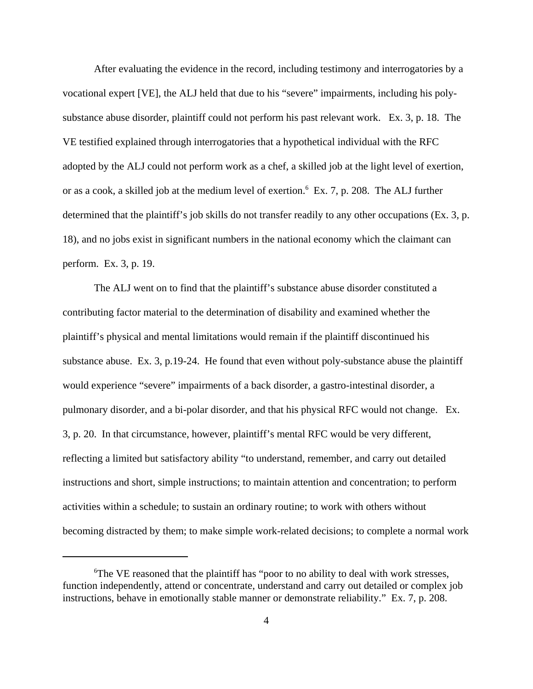After evaluating the evidence in the record, including testimony and interrogatories by a vocational expert [VE], the ALJ held that due to his "severe" impairments, including his polysubstance abuse disorder, plaintiff could not perform his past relevant work. Ex. 3, p. 18. The VE testified explained through interrogatories that a hypothetical individual with the RFC adopted by the ALJ could not perform work as a chef, a skilled job at the light level of exertion, or as a cook, a skilled job at the medium level of exertion.<sup>6</sup> Ex. 7, p. 208. The ALJ further determined that the plaintiff's job skills do not transfer readily to any other occupations (Ex. 3, p. 18), and no jobs exist in significant numbers in the national economy which the claimant can perform. Ex. 3, p. 19.

The ALJ went on to find that the plaintiff's substance abuse disorder constituted a contributing factor material to the determination of disability and examined whether the plaintiff's physical and mental limitations would remain if the plaintiff discontinued his substance abuse. Ex. 3, p.19-24. He found that even without poly-substance abuse the plaintiff would experience "severe" impairments of a back disorder, a gastro-intestinal disorder, a pulmonary disorder, and a bi-polar disorder, and that his physical RFC would not change. Ex. 3, p. 20. In that circumstance, however, plaintiff's mental RFC would be very different, reflecting a limited but satisfactory ability "to understand, remember, and carry out detailed instructions and short, simple instructions; to maintain attention and concentration; to perform activities within a schedule; to sustain an ordinary routine; to work with others without becoming distracted by them; to make simple work-related decisions; to complete a normal work

<sup>6</sup>The VE reasoned that the plaintiff has "poor to no ability to deal with work stresses, function independently, attend or concentrate, understand and carry out detailed or complex job instructions, behave in emotionally stable manner or demonstrate reliability." Ex. 7, p. 208.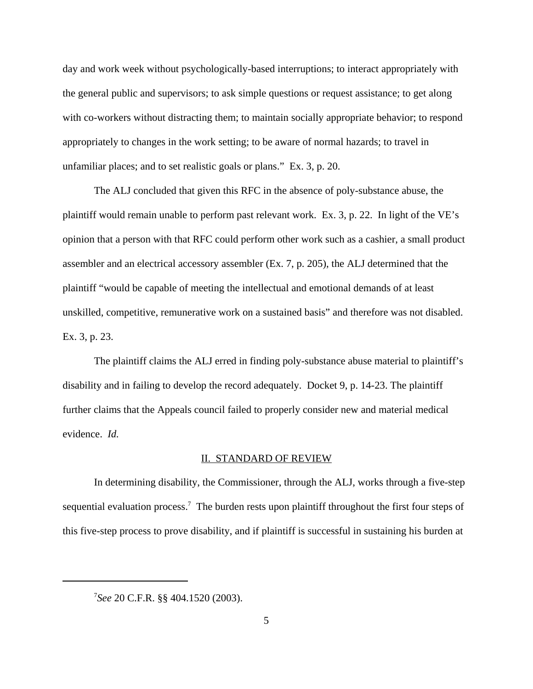day and work week without psychologically-based interruptions; to interact appropriately with the general public and supervisors; to ask simple questions or request assistance; to get along with co-workers without distracting them; to maintain socially appropriate behavior; to respond appropriately to changes in the work setting; to be aware of normal hazards; to travel in unfamiliar places; and to set realistic goals or plans." Ex. 3, p. 20.

The ALJ concluded that given this RFC in the absence of poly-substance abuse, the plaintiff would remain unable to perform past relevant work. Ex. 3, p. 22. In light of the VE's opinion that a person with that RFC could perform other work such as a cashier, a small product assembler and an electrical accessory assembler (Ex. 7, p. 205), the ALJ determined that the plaintiff "would be capable of meeting the intellectual and emotional demands of at least unskilled, competitive, remunerative work on a sustained basis" and therefore was not disabled. Ex. 3, p. 23.

The plaintiff claims the ALJ erred in finding poly-substance abuse material to plaintiff's disability and in failing to develop the record adequately. Docket 9, p. 14-23. The plaintiff further claims that the Appeals council failed to properly consider new and material medical evidence. *Id.*

#### II. STANDARD OF REVIEW

In determining disability, the Commissioner, through the ALJ, works through a five-step sequential evaluation process.<sup>7</sup> The burden rests upon plaintiff throughout the first four steps of this five-step process to prove disability, and if plaintiff is successful in sustaining his burden at

<sup>7</sup> *See* 20 C.F.R. §§ 404.1520 (2003).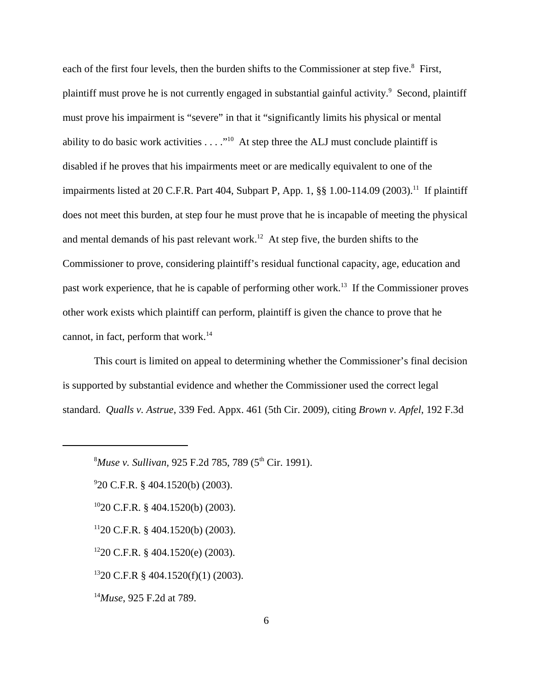each of the first four levels, then the burden shifts to the Commissioner at step five.<sup>8</sup> First, plaintiff must prove he is not currently engaged in substantial gainful activity.<sup>9</sup> Second, plaintiff must prove his impairment is "severe" in that it "significantly limits his physical or mental ability to do basic work activities  $\dots$ ."<sup>10</sup> At step three the ALJ must conclude plaintiff is disabled if he proves that his impairments meet or are medically equivalent to one of the impairments listed at 20 C.F.R. Part 404, Subpart P, App. 1, §§ 1.00-114.09 (2003).<sup>11</sup> If plaintiff does not meet this burden, at step four he must prove that he is incapable of meeting the physical and mental demands of his past relevant work.<sup>12</sup> At step five, the burden shifts to the Commissioner to prove, considering plaintiff's residual functional capacity, age, education and past work experience, that he is capable of performing other work.<sup>13</sup> If the Commissioner proves other work exists which plaintiff can perform, plaintiff is given the chance to prove that he cannot, in fact, perform that work.<sup>14</sup>

This court is limited on appeal to determining whether the Commissioner's final decision is supported by substantial evidence and whether the Commissioner used the correct legal standard. *Qualls v. Astrue*, 339 Fed. Appx. 461 (5th Cir. 2009), citing *Brown v. Apfel*, 192 F.3d

9 20 C.F.R. § 404.1520(b) (2003).

<sup>10</sup>20 C.F.R. § 404.1520(b) (2003).

 $1120$  C.F.R. § 404.1520(b) (2003).

 $1220$  C.F.R. § 404.1520(e) (2003).

 $1320$  C.F.R § 404.1520(f)(1) (2003).

<sup>14</sup>*Muse*, 925 F.2d at 789.

<sup>8</sup>*Muse v. Sullivan,* 925 F.2d 785, 789 (5th Cir. 1991).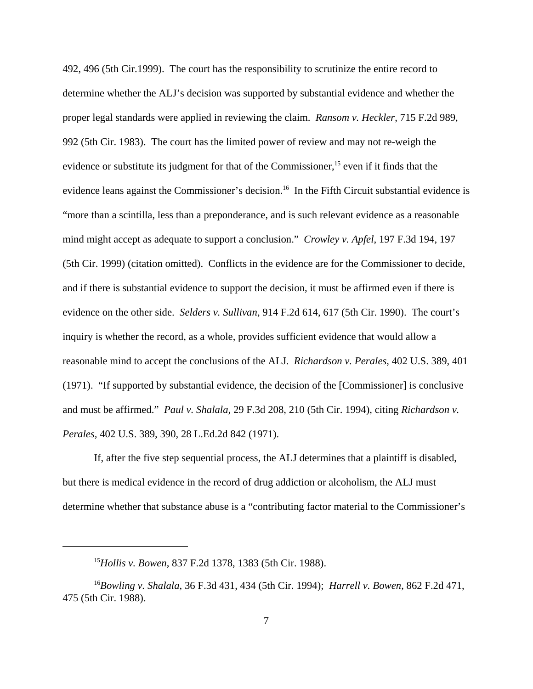492, 496 (5th Cir.1999). The court has the responsibility to scrutinize the entire record to determine whether the ALJ's decision was supported by substantial evidence and whether the proper legal standards were applied in reviewing the claim. *Ransom v. Heckler*, 715 F.2d 989, 992 (5th Cir. 1983). The court has the limited power of review and may not re-weigh the evidence or substitute its judgment for that of the Commissioner,<sup>15</sup> even if it finds that the evidence leans against the Commissioner's decision.<sup>16</sup> In the Fifth Circuit substantial evidence is "more than a scintilla, less than a preponderance, and is such relevant evidence as a reasonable mind might accept as adequate to support a conclusion." *Crowley v. Apfel*, 197 F.3d 194, 197 (5th Cir. 1999) (citation omitted). Conflicts in the evidence are for the Commissioner to decide, and if there is substantial evidence to support the decision, it must be affirmed even if there is evidence on the other side. *Selders v. Sullivan*, 914 F.2d 614, 617 (5th Cir. 1990). The court's inquiry is whether the record, as a whole, provides sufficient evidence that would allow a reasonable mind to accept the conclusions of the ALJ. *Richardson v. Perales*, 402 U.S. 389, 401 (1971). "If supported by substantial evidence, the decision of the [Commissioner] is conclusive and must be affirmed." *Paul v. Shalala,* 29 F.3d 208, 210 (5th Cir. 1994), citing *Richardson v. Perales,* 402 U.S. 389, 390, 28 L.Ed.2d 842 (1971).

If, after the five step sequential process, the ALJ determines that a plaintiff is disabled, but there is medical evidence in the record of drug addiction or alcoholism, the ALJ must determine whether that substance abuse is a "contributing factor material to the Commissioner's

<sup>15</sup>*Hollis v. Bowen*, 837 F.2d 1378, 1383 (5th Cir. 1988).

<sup>16</sup>*Bowling v. Shalala*, 36 F.3d 431, 434 (5th Cir. 1994); *Harrell v. Bowen*, 862 F.2d 471, 475 (5th Cir. 1988).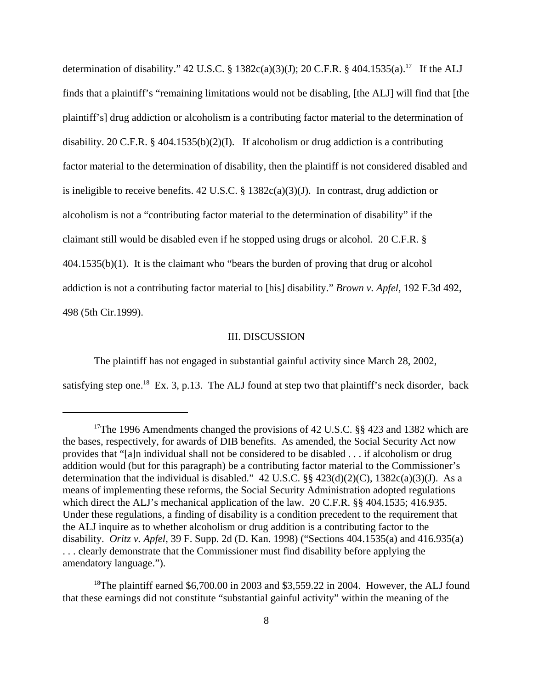determination of disability." 42 U.S.C. § 1382c(a)(3)(J); 20 C.F.R. § 404.1535(a).<sup>17</sup> If the ALJ finds that a plaintiff's "remaining limitations would not be disabling, [the ALJ] will find that [the plaintiff's] drug addiction or alcoholism is a contributing factor material to the determination of disability. 20 C.F.R. § 404.1535(b)(2)(I). If alcoholism or drug addiction is a contributing factor material to the determination of disability, then the plaintiff is not considered disabled and is ineligible to receive benefits. 42 U.S.C.  $\S$  1382c(a)(3)(J). In contrast, drug addiction or alcoholism is not a "contributing factor material to the determination of disability" if the claimant still would be disabled even if he stopped using drugs or alcohol. 20 C.F.R. § 404.1535(b)(1). It is the claimant who "bears the burden of proving that drug or alcohol addiction is not a contributing factor material to [his] disability." *Brown v. Apfel,* 192 F.3d 492, 498 (5th Cir.1999).

### III. DISCUSSION

The plaintiff has not engaged in substantial gainful activity since March 28, 2002,

satisfying step one.<sup>18</sup> Ex. 3, p.13. The ALJ found at step two that plaintiff's neck disorder, back

<sup>&</sup>lt;sup>17</sup>The 1996 Amendments changed the provisions of 42 U.S.C.  $\S\S 423$  and 1382 which are the bases, respectively, for awards of DIB benefits. As amended, the Social Security Act now provides that "[a]n individual shall not be considered to be disabled . . . if alcoholism or drug addition would (but for this paragraph) be a contributing factor material to the Commissioner's determination that the individual is disabled." 42 U.S.C.  $\S § 423(d)(2)(C)$ , 1382c(a)(3)(J). As a means of implementing these reforms, the Social Security Administration adopted regulations which direct the ALJ's mechanical application of the law. 20 C.F.R. §§ 404.1535; 416.935. Under these regulations, a finding of disability is a condition precedent to the requirement that the ALJ inquire as to whether alcoholism or drug addition is a contributing factor to the disability. *Oritz v. Apfel*, 39 F. Supp. 2d (D. Kan. 1998) ("Sections 404.1535(a) and 416.935(a) . . . clearly demonstrate that the Commissioner must find disability before applying the amendatory language.").

<sup>&</sup>lt;sup>18</sup>The plaintiff earned \$6,700.00 in 2003 and \$3,559.22 in 2004. However, the ALJ found that these earnings did not constitute "substantial gainful activity" within the meaning of the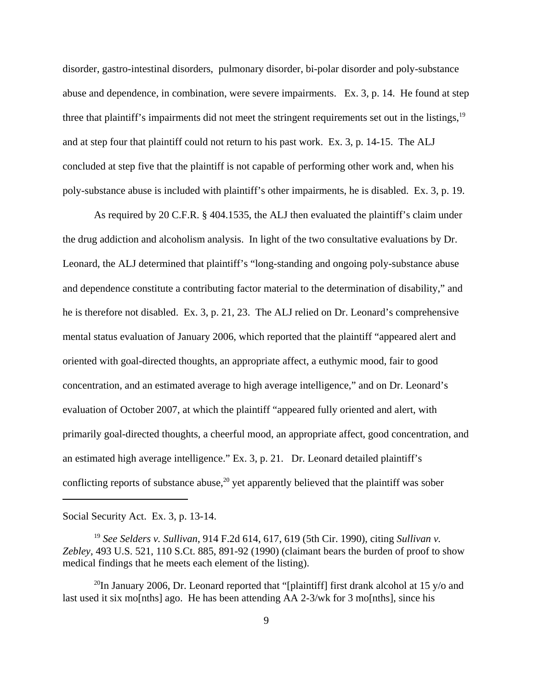disorder, gastro-intestinal disorders, pulmonary disorder, bi-polar disorder and poly-substance abuse and dependence, in combination, were severe impairments. Ex. 3, p. 14. He found at step three that plaintiff's impairments did not meet the stringent requirements set out in the listings,<sup>19</sup> and at step four that plaintiff could not return to his past work. Ex. 3, p. 14-15. The ALJ concluded at step five that the plaintiff is not capable of performing other work and, when his poly-substance abuse is included with plaintiff's other impairments, he is disabled. Ex. 3, p. 19.

As required by 20 C.F.R. § 404.1535, the ALJ then evaluated the plaintiff's claim under the drug addiction and alcoholism analysis. In light of the two consultative evaluations by Dr. Leonard, the ALJ determined that plaintiff's "long-standing and ongoing poly-substance abuse and dependence constitute a contributing factor material to the determination of disability," and he is therefore not disabled. Ex. 3, p. 21, 23. The ALJ relied on Dr. Leonard's comprehensive mental status evaluation of January 2006, which reported that the plaintiff "appeared alert and oriented with goal-directed thoughts, an appropriate affect, a euthymic mood, fair to good concentration, and an estimated average to high average intelligence," and on Dr. Leonard's evaluation of October 2007, at which the plaintiff "appeared fully oriented and alert, with primarily goal-directed thoughts, a cheerful mood, an appropriate affect, good concentration, and an estimated high average intelligence." Ex. 3, p. 21. Dr. Leonard detailed plaintiff's conflicting reports of substance abuse,<sup>20</sup> yet apparently believed that the plaintiff was sober

Social Security Act. Ex. 3, p. 13-14.

<sup>19</sup> *See Selders v. Sullivan*, 914 F.2d 614, 617, 619 (5th Cir. 1990), citing *Sullivan v. Zebley*, 493 U.S. 521, 110 S.Ct. 885, 891-92 (1990) (claimant bears the burden of proof to show medical findings that he meets each element of the listing).

<sup>20</sup>In January 2006, Dr. Leonard reported that "[plaintiff] first drank alcohol at 15 y/o and last used it six mo[nths] ago. He has been attending AA 2-3/wk for 3 mo[nths], since his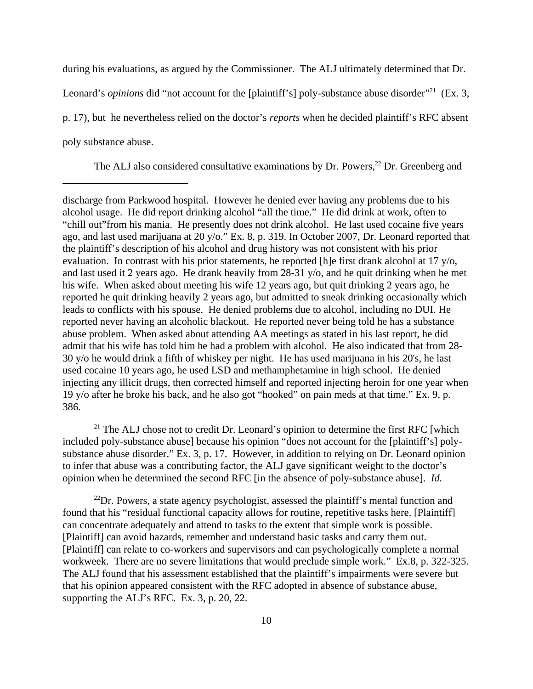during his evaluations, as argued by the Commissioner. The ALJ ultimately determined that Dr. Leonard's *opinions* did "not account for the [plaintiff's] poly-substance abuse disorder"<sup>21</sup> (Ex. 3, p. 17), but he nevertheless relied on the doctor's *reports* when he decided plaintiff's RFC absent

poly substance abuse.

The ALJ also considered consultative examinations by Dr. Powers,<sup>22</sup> Dr. Greenberg and

discharge from Parkwood hospital. However he denied ever having any problems due to his alcohol usage. He did report drinking alcohol "all the time." He did drink at work, often to "chill out"from his mania. He presently does not drink alcohol. He last used cocaine five years ago, and last used marijuana at 20 y/o." Ex. 8, p. 319. In October 2007, Dr. Leonard reported that the plaintiff's description of his alcohol and drug history was not consistent with his prior evaluation. In contrast with his prior statements, he reported [h]e first drank alcohol at 17 y/o, and last used it 2 years ago. He drank heavily from 28-31 y/o, and he quit drinking when he met his wife. When asked about meeting his wife 12 years ago, but quit drinking 2 years ago, he reported he quit drinking heavily 2 years ago, but admitted to sneak drinking occasionally which leads to conflicts with his spouse. He denied problems due to alcohol, including no DUI. He reported never having an alcoholic blackout. He reported never being told he has a substance abuse problem. When asked about attending AA meetings as stated in his last report, he did admit that his wife has told him he had a problem with alcohol. He also indicated that from 28- 30 y/o he would drink a fifth of whiskey per night. He has used marijuana in his 20's, he last used cocaine 10 years ago, he used LSD and methamphetamine in high school. He denied injecting any illicit drugs, then corrected himself and reported injecting heroin for one year when 19 y/o after he broke his back, and he also got "hooked" on pain meds at that time." Ex. 9, p. 386.

 $21$  The ALJ chose not to credit Dr. Leonard's opinion to determine the first RFC [which included poly-substance abuse] because his opinion "does not account for the [plaintiff's] polysubstance abuse disorder." Ex. 3, p. 17. However, in addition to relying on Dr. Leonard opinion to infer that abuse was a contributing factor, the ALJ gave significant weight to the doctor's opinion when he determined the second RFC [in the absence of poly-substance abuse]. *Id.*

 $^{22}$ Dr. Powers, a state agency psychologist, assessed the plaintiff's mental function and found that his "residual functional capacity allows for routine, repetitive tasks here. [Plaintiff] can concentrate adequately and attend to tasks to the extent that simple work is possible. [Plaintiff] can avoid hazards, remember and understand basic tasks and carry them out. [Plaintiff] can relate to co-workers and supervisors and can psychologically complete a normal workweek. There are no severe limitations that would preclude simple work." Ex.8, p. 322-325. The ALJ found that his assessment established that the plaintiff's impairments were severe but that his opinion appeared consistent with the RFC adopted in absence of substance abuse, supporting the ALJ's RFC. Ex. 3, p. 20, 22.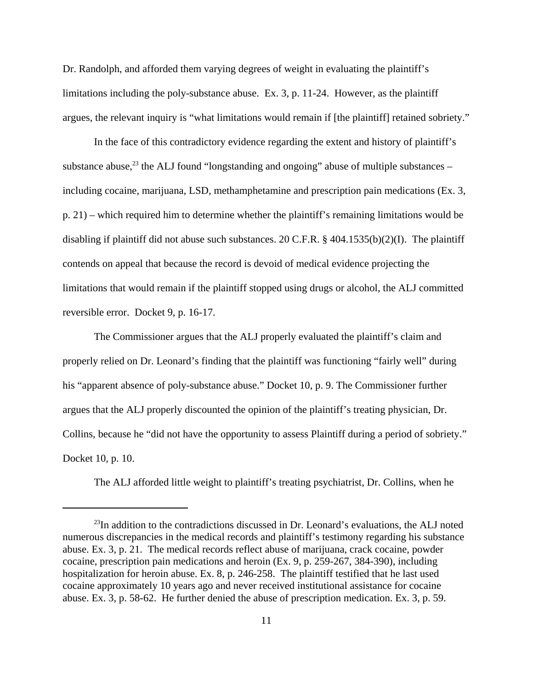Dr. Randolph, and afforded them varying degrees of weight in evaluating the plaintiff's limitations including the poly-substance abuse. Ex. 3, p. 11-24. However, as the plaintiff argues, the relevant inquiry is "what limitations would remain if [the plaintiff] retained sobriety."

In the face of this contradictory evidence regarding the extent and history of plaintiff's substance abuse, $^{23}$  the ALJ found "longstanding and ongoing" abuse of multiple substances – including cocaine, marijuana, LSD, methamphetamine and prescription pain medications (Ex. 3, p. 21) – which required him to determine whether the plaintiff's remaining limitations would be disabling if plaintiff did not abuse such substances. 20 C.F.R. § 404.1535(b)(2)(I). The plaintiff contends on appeal that because the record is devoid of medical evidence projecting the limitations that would remain if the plaintiff stopped using drugs or alcohol, the ALJ committed reversible error. Docket 9, p. 16-17.

The Commissioner argues that the ALJ properly evaluated the plaintiff's claim and properly relied on Dr. Leonard's finding that the plaintiff was functioning "fairly well" during his "apparent absence of poly-substance abuse." Docket 10, p. 9. The Commissioner further argues that the ALJ properly discounted the opinion of the plaintiff's treating physician, Dr. Collins, because he "did not have the opportunity to assess Plaintiff during a period of sobriety." Docket 10, p. 10.

The ALJ afforded little weight to plaintiff's treating psychiatrist, Dr. Collins, when he

 $^{23}$ In addition to the contradictions discussed in Dr. Leonard's evaluations, the ALJ noted numerous discrepancies in the medical records and plaintiff's testimony regarding his substance abuse. Ex. 3, p. 21. The medical records reflect abuse of marijuana, crack cocaine, powder cocaine, prescription pain medications and heroin (Ex. 9, p. 259-267, 384-390), including hospitalization for heroin abuse. Ex. 8, p. 246-258. The plaintiff testified that he last used cocaine approximately 10 years ago and never received institutional assistance for cocaine abuse. Ex. 3, p. 58-62. He further denied the abuse of prescription medication. Ex. 3, p. 59.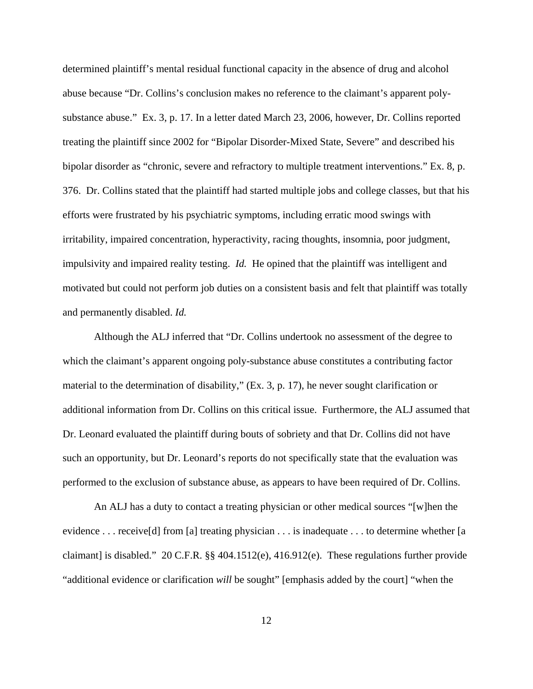determined plaintiff's mental residual functional capacity in the absence of drug and alcohol abuse because "Dr. Collins's conclusion makes no reference to the claimant's apparent polysubstance abuse." Ex. 3, p. 17. In a letter dated March 23, 2006, however, Dr. Collins reported treating the plaintiff since 2002 for "Bipolar Disorder-Mixed State, Severe" and described his bipolar disorder as "chronic, severe and refractory to multiple treatment interventions." Ex. 8, p. 376. Dr. Collins stated that the plaintiff had started multiple jobs and college classes, but that his efforts were frustrated by his psychiatric symptoms, including erratic mood swings with irritability, impaired concentration, hyperactivity, racing thoughts, insomnia, poor judgment, impulsivity and impaired reality testing. *Id.* He opined that the plaintiff was intelligent and motivated but could not perform job duties on a consistent basis and felt that plaintiff was totally and permanently disabled. *Id.* 

Although the ALJ inferred that "Dr. Collins undertook no assessment of the degree to which the claimant's apparent ongoing poly-substance abuse constitutes a contributing factor material to the determination of disability," (Ex. 3, p. 17), he never sought clarification or additional information from Dr. Collins on this critical issue. Furthermore, the ALJ assumed that Dr. Leonard evaluated the plaintiff during bouts of sobriety and that Dr. Collins did not have such an opportunity, but Dr. Leonard's reports do not specifically state that the evaluation was performed to the exclusion of substance abuse, as appears to have been required of Dr. Collins.

An ALJ has a duty to contact a treating physician or other medical sources "[w]hen the evidence . . . receive[d] from [a] treating physician . . . is inadequate . . . to determine whether [a claimant] is disabled." 20 C.F.R.  $\S$  404.1512(e), 416.912(e). These regulations further provide "additional evidence or clarification *will* be sought" [emphasis added by the court] "when the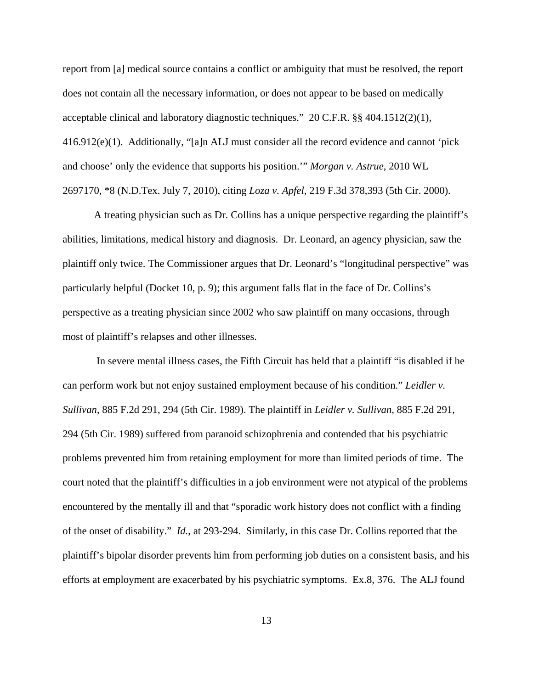report from [a] medical source contains a conflict or ambiguity that must be resolved, the report does not contain all the necessary information, or does not appear to be based on medically acceptable clinical and laboratory diagnostic techniques." 20 C.F.R. §§ 404.1512(2)(1), 416.912(e)(1). Additionally, "[a]n ALJ must consider all the record evidence and cannot 'pick and choose' only the evidence that supports his position.'" *Morgan v. Astrue*, 2010 WL 2697170, \*8 (N.D.Tex. July 7, 2010), citing *Loza v. Apfel*, 219 F.3d 378,393 (5th Cir. 2000).

A treating physician such as Dr. Collins has a unique perspective regarding the plaintiff's abilities, limitations, medical history and diagnosis. Dr. Leonard, an agency physician, saw the plaintiff only twice. The Commissioner argues that Dr. Leonard's "longitudinal perspective" was particularly helpful (Docket 10, p. 9); this argument falls flat in the face of Dr. Collins's perspective as a treating physician since 2002 who saw plaintiff on many occasions, through most of plaintiff's relapses and other illnesses.

 In severe mental illness cases, the Fifth Circuit has held that a plaintiff "is disabled if he can perform work but not enjoy sustained employment because of his condition." *Leidler v. Sullivan*, 885 F.2d 291, 294 (5th Cir. 1989). The plaintiff in *Leidler v. Sullivan*, 885 F.2d 291, 294 (5th Cir. 1989) suffered from paranoid schizophrenia and contended that his psychiatric problems prevented him from retaining employment for more than limited periods of time. The court noted that the plaintiff's difficulties in a job environment were not atypical of the problems encountered by the mentally ill and that "sporadic work history does not conflict with a finding of the onset of disability." *Id.*, at 293-294. Similarly, in this case Dr. Collins reported that the plaintiff's bipolar disorder prevents him from performing job duties on a consistent basis, and his efforts at employment are exacerbated by his psychiatric symptoms. Ex.8, 376. The ALJ found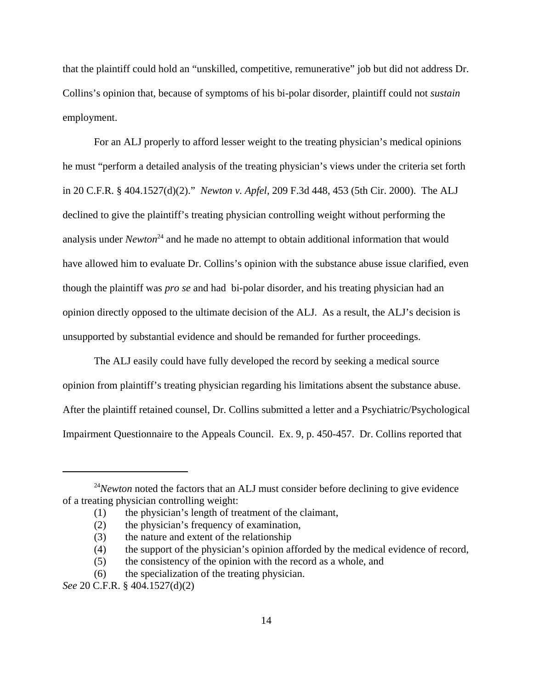that the plaintiff could hold an "unskilled, competitive, remunerative" job but did not address Dr. Collins's opinion that, because of symptoms of his bi-polar disorder, plaintiff could not *sustain* employment.

For an ALJ properly to afford lesser weight to the treating physician's medical opinions he must "perform a detailed analysis of the treating physician's views under the criteria set forth in 20 C.F.R. § 404.1527(d)(2)." *Newton v. Apfel*, 209 F.3d 448, 453 (5th Cir. 2000). The ALJ declined to give the plaintiff's treating physician controlling weight without performing the analysis under *Newton*<sup>24</sup> and he made no attempt to obtain additional information that would have allowed him to evaluate Dr. Collins's opinion with the substance abuse issue clarified, even though the plaintiff was *pro se* and had bi-polar disorder, and his treating physician had an opinion directly opposed to the ultimate decision of the ALJ. As a result, the ALJ's decision is unsupported by substantial evidence and should be remanded for further proceedings.

The ALJ easily could have fully developed the record by seeking a medical source opinion from plaintiff's treating physician regarding his limitations absent the substance abuse. After the plaintiff retained counsel, Dr. Collins submitted a letter and a Psychiatric/Psychological Impairment Questionnaire to the Appeals Council. Ex. 9, p. 450-457. Dr. Collins reported that

<sup>&</sup>lt;sup>24</sup>*Newton* noted the factors that an ALJ must consider before declining to give evidence of a treating physician controlling weight:

<sup>(1)</sup> the physician's length of treatment of the claimant,

<sup>(2)</sup> the physician's frequency of examination,

<sup>(3)</sup> the nature and extent of the relationship

<sup>(4)</sup> the support of the physician's opinion afforded by the medical evidence of record,

<sup>(5)</sup> the consistency of the opinion with the record as a whole, and

<sup>(6)</sup> the specialization of the treating physician.

*See* 20 C.F.R. § 404.1527(d)(2)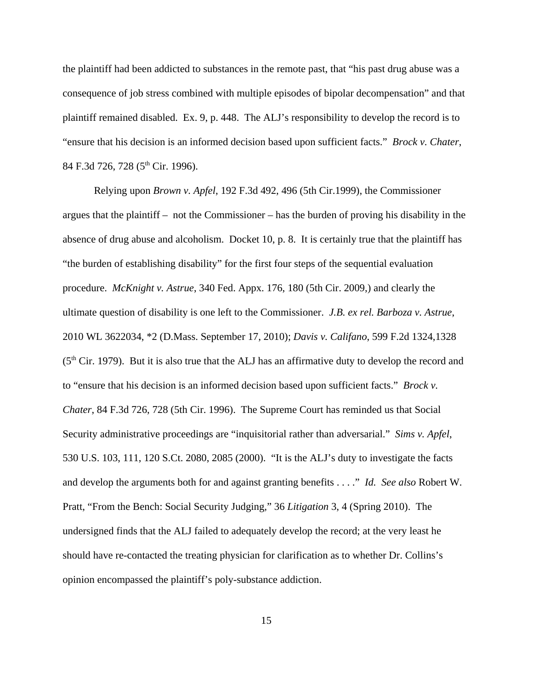the plaintiff had been addicted to substances in the remote past, that "his past drug abuse was a consequence of job stress combined with multiple episodes of bipolar decompensation" and that plaintiff remained disabled. Ex. 9, p. 448. The ALJ's responsibility to develop the record is to "ensure that his decision is an informed decision based upon sufficient facts." *Brock v. Chater*, 84 F.3d 726, 728 (5<sup>th</sup> Cir. 1996).

Relying upon *Brown v. Apfel*, 192 F.3d 492, 496 (5th Cir.1999), the Commissioner argues that the plaintiff – not the Commissioner – has the burden of proving his disability in the absence of drug abuse and alcoholism. Docket 10, p. 8. It is certainly true that the plaintiff has "the burden of establishing disability" for the first four steps of the sequential evaluation procedure. *McKnight v. Astrue*, 340 Fed. Appx. 176, 180 (5th Cir. 2009,) and clearly the ultimate question of disability is one left to the Commissioner. *J.B. ex rel. Barboza v. Astrue*, 2010 WL 3622034, \*2 (D.Mass. September 17, 2010); *Davis v. Califano*, 599 F.2d 1324,1328  $(5<sup>th</sup> Cir. 1979)$ . But it is also true that the ALJ has an affirmative duty to develop the record and to "ensure that his decision is an informed decision based upon sufficient facts." *Brock v. Chater*, 84 F.3d 726, 728 (5th Cir. 1996). The Supreme Court has reminded us that Social Security administrative proceedings are "inquisitorial rather than adversarial." *Sims v. Apfel*, 530 U.S. 103, 111, 120 S.Ct. 2080, 2085 (2000). "It is the ALJ's duty to investigate the facts and develop the arguments both for and against granting benefits . . . ." *Id. See also* Robert W. Pratt, "From the Bench: Social Security Judging," 36 *Litigation* 3, 4 (Spring 2010). The undersigned finds that the ALJ failed to adequately develop the record; at the very least he should have re-contacted the treating physician for clarification as to whether Dr. Collins's opinion encompassed the plaintiff's poly-substance addiction.